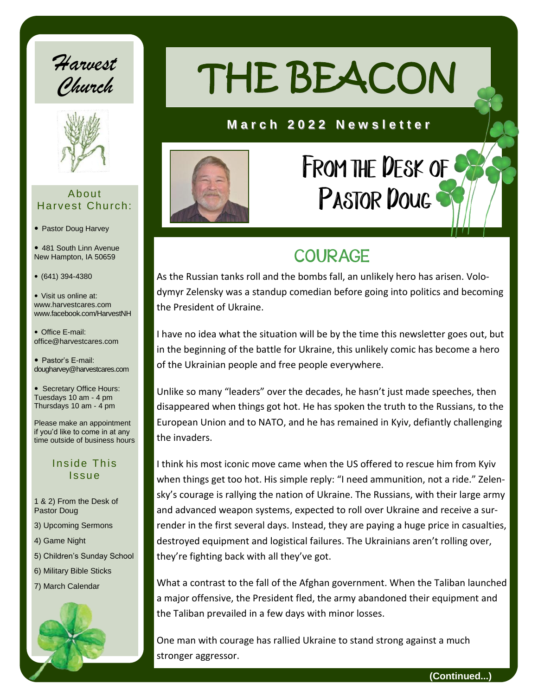



#### About Harvest Church:

• Pastor Doug Harvey

 481 South Linn Avenue New Hampton, IA 50659

(641) 394-4380

 Visit us online at: www.harvestcares.com www.facebook.com/HarvestNH

 Office E-mail: office@harvestcares.com

 Pastor's E-mail: dougharvey@harvestcares.com

• Secretary Office Hours: Tuesdays 10 am - 4 pm Thursdays 10 am - 4 pm

Please make an appointment if you'd like to come in at any time outside of business hours

#### Inside This Issue

1 & 2) From the Desk of Pastor Doug

3) Upcoming Sermons

4) Game Night

5) Children's Sunday School

6) Military Bible Sticks

7) March Calendar



## THE BEACON

#### **M a r c h 2 0 2 2 N e w s l e t t e r**



## FROM THE DESK OF PASTOR DOUG

## **COURAGE**

As the Russian tanks roll and the bombs fall, an unlikely hero has arisen. Volodymyr Zelensky was a standup comedian before going into politics and becoming the President of Ukraine.

I have no idea what the situation will be by the time this newsletter goes out, but in the beginning of the battle for Ukraine, this unlikely comic has become a hero of the Ukrainian people and free people everywhere.

Unlike so many "leaders" over the decades, he hasn't just made speeches, then disappeared when things got hot. He has spoken the truth to the Russians, to the European Union and to NATO, and he has remained in Kyiv, defiantly challenging the invaders.

I think his most iconic move came when the US offered to rescue him from Kyiv when things get too hot. His simple reply: "I need ammunition, not a ride." Zelensky's courage is rallying the nation of Ukraine. The Russians, with their large army and advanced weapon systems, expected to roll over Ukraine and receive a surrender in the first several days. Instead, they are paying a huge price in casualties, destroyed equipment and logistical failures. The Ukrainians aren't rolling over, they're fighting back with all they've got.

What a contrast to the fall of the Afghan government. When the Taliban launched a major offensive, the President fled, the army abandoned their equipment and the Taliban prevailed in a few days with minor losses.

One man with courage has rallied Ukraine to stand strong against a much stronger aggressor.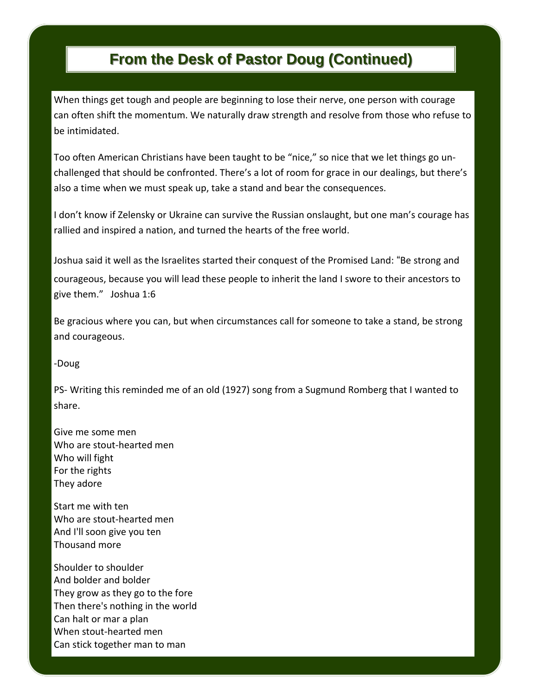### **From the Desk of Pastor Doug (Continued)**

When things get tough and people are beginning to lose their nerve, one person with courage can often shift the momentum. We naturally draw strength and resolve from those who refuse to be intimidated.

Too often American Christians have been taught to be "nice," so nice that we let things go unchallenged that should be confronted. There's a lot of room for grace in our dealings, but there's also a time when we must speak up, take a stand and bear the consequences.

I don't know if Zelensky or Ukraine can survive the Russian onslaught, but one man's courage has rallied and inspired a nation, and turned the hearts of the free world.

Joshua said it well as the Israelites started their conquest of the Promised Land: "Be strong and courageous, because you will lead these people to inherit the land I swore to their ancestors to give them." Joshua 1:6

Be gracious where you can, but when circumstances call for someone to take a stand, be strong and courageous.

-Doug

PS- Writing this reminded me of an old (1927) song from a Sugmund Romberg that I wanted to share.

Give me some men Who are stout-hearted men Who will fight For the rights They adore

Start me with ten Who are stout-hearted men And I'll soon give you ten Thousand more

Shoulder to shoulder And bolder and bolder They grow as they go to the fore Then there's nothing in the world Can halt or mar a plan When stout-hearted men Can stick together man to man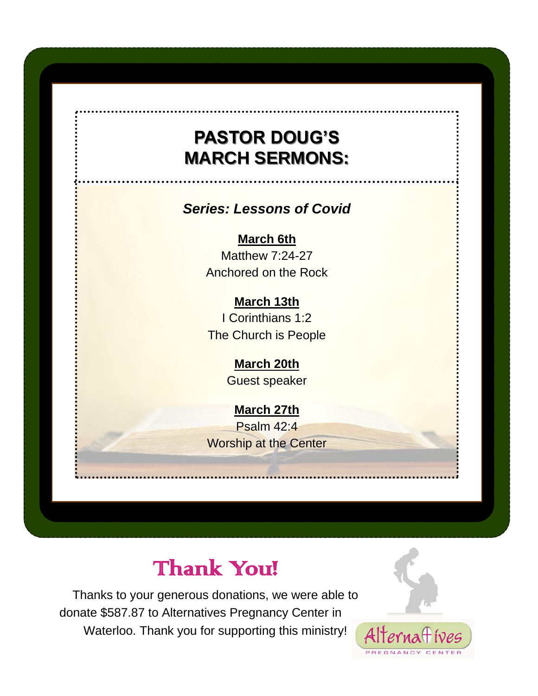## **PASTOR DOUG'S MARCH SERMONS:**

#### *Series: Lessons of Covid*

**March 6th** Matthew 7:24-27 Anchored on the Rock

**March 13th** I Corinthians 1:2 The Church is People

> **March 20th** Guest speaker

**March 27th** Psalm 42:4 Worship at the Center

## Thank You!

Thanks to your generous donations, we were able to donate \$587.87 to Alternatives Pregnancy Center in Waterloo. Thank you for supporting this ministry!

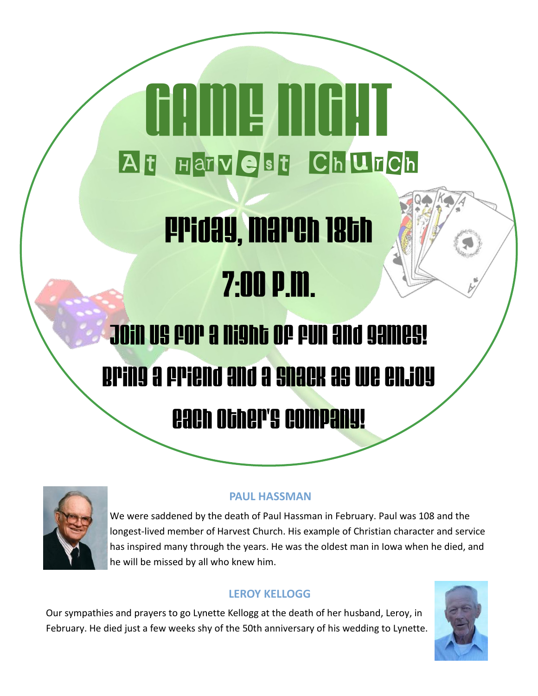# TITLE IIIIHIT Friday, March 18th 7:00 p.m. Join us for a night of fun and games! Bring a friend and a snack as we enjoy each other's company! At Harvest Church



#### **PAUL HASSMAN**

We were saddened by the death of Paul Hassman in February. Paul was 108 and the longest-lived member of Harvest Church. His example of Christian character and service has inspired many through the years. He was the oldest man in Iowa when he died, and he will be missed by all who knew him.

#### **LEROY KELLOGG**

Our sympathies and prayers to go Lynette Kellogg at the death of her husband, Leroy, in February. He died just a few weeks shy of the 50th anniversary of his wedding to Lynette.

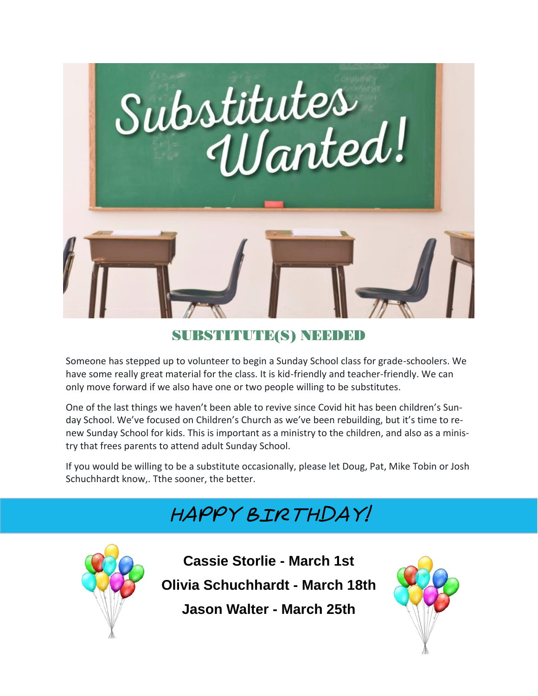

### SUBSTITUTE(S) NEEDED

Someone has stepped up to volunteer to begin a Sunday School class for grade-schoolers. We have some really great material for the class. It is kid-friendly and teacher-friendly. We can only move forward if we also have one or two people willing to be substitutes.

One of the last things we haven't been able to revive since Covid hit has been children's Sunday School. We've focused on Children's Church as we've been rebuilding, but it's time to renew Sunday School for kids. This is important as a ministry to the children, and also as a ministry that frees parents to attend adult Sunday School.

If you would be willing to be a substitute occasionally, please let Doug, Pat, Mike Tobin or Josh Schuchhardt know,. Tthe sooner, the better.

## happy Birthday!



**Cassie Storlie - March 1st Olivia Schuchhardt - March 18th Jason Walter - March 25th**

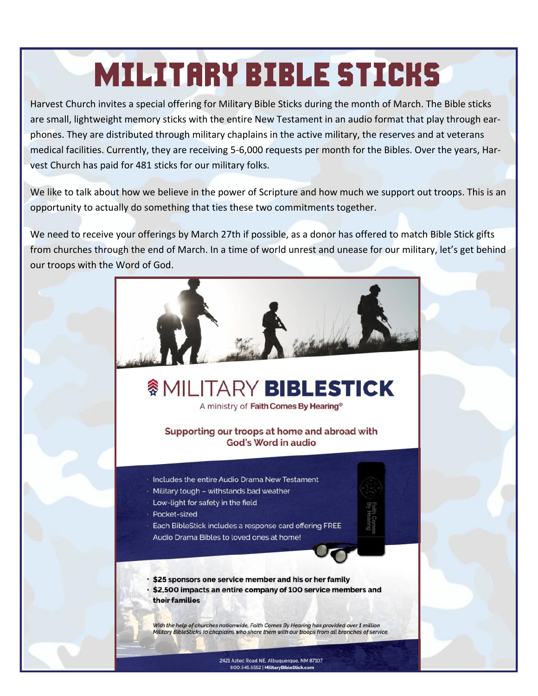## MILITARY BIBLE STICKS

Harvest Church invites a special offering for Military Bible Sticks during the month of March. The Bible sticks are small, lightweight memory sticks with the entire New Testament in an audio format that play through earphones. They are distributed through military chaplains in the active military, the reserves and at veterans medical facilities. Currently, they are receiving 5-6,000 requests per month for the Bibles. Over the years, Harvest Church has paid for 481 sticks for our military folks.

We like to talk about how we believe in the power of Scripture and how much we support out troops. This is an opportunity to actually do something that ties these two commitments together.

We need to receive your offerings by March 27th if possible, as a donor has offered to match Bible Stick gifts from churches through the end of March. In a time of world unrest and unease for our military, let's get behind our troops with the Word of God.